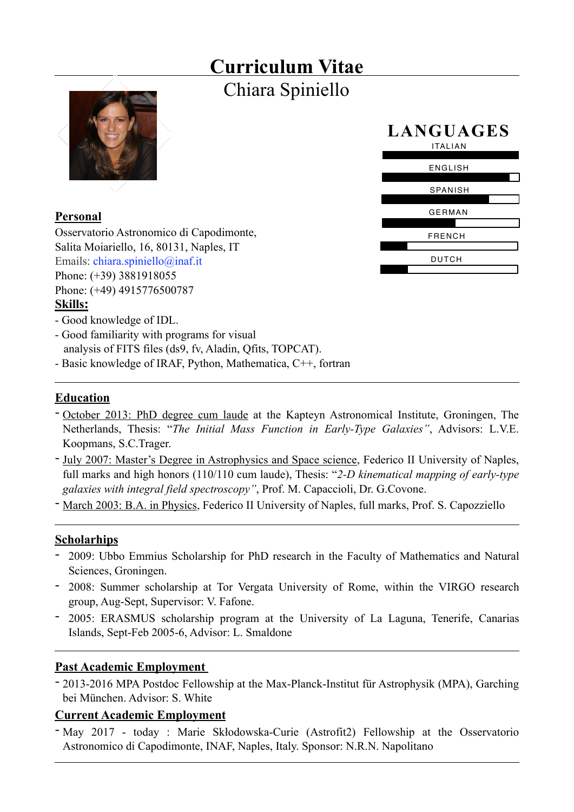## **Curriculum Vitae** Chiara Spiniello



## **Personal**

Osservatorio Astronomico di Capodimonte, Salita Moiariello, 16, 80131, Naples, IT Emails: [chiara.spiniello@inaf.it](mailto:chiara.spiniello@inaf.it) Phone: (+39) 3881918055 Phone: (+49) 4915776500787 **Skills:**



- Good knowledge of IDL.
- Good familiarity with programs for visual analysis of FITS files (ds9, fv, Aladin, Qfits, TOPCAT).
- Basic knowledge of IRAF, Python, Mathematica, C++, fortran

## **Education**

- October 2013: PhD degree cum laude at the Kapteyn Astronomical Institute, Groningen, The Netherlands, Thesis: "*The Initial Mass Function in Early-Type Galaxies"*, Advisors: L.V.E. Koopmans, S.C.Trager.
- July 2007: Master's Degree in Astrophysics and Space science, Federico II University of Naples, full marks and high honors (110/110 cum laude), Thesis: "*2-D kinematical mapping of early-type galaxies with integral field spectroscopy"*, Prof. M. Capaccioli, Dr. G.Covone.
- March 2003: B.A. in Physics, Federico II University of Naples, full marks, Prof. S. Capozziello

## **Scholarhips**

- 2009: Ubbo Emmius Scholarship for PhD research in the Faculty of Mathematics and Natural Sciences, Groningen.
- 2008: Summer scholarship at Tor Vergata University of Rome, within the VIRGO research group, Aug-Sept, Supervisor: V. Fafone.
- 2005: ERASMUS scholarship program at the University of La Laguna, Tenerife, Canarias Islands, Sept-Feb 2005-6, Advisor: L. Smaldone

## **Past Academic Employment**

- 2013-2016 MPA Postdoc Fellowship at the Max-Planck-Institut für Astrophysik (MPA), Garching bei München. Advisor: S. White

## **Current Academic Employment**

- May 2017 - today : Marie Skłodowska-Curie (Astrofit2) Fellowship at the Osservatorio Astronomico di Capodimonte, INAF, Naples, Italy. Sponsor: N.R.N. Napolitano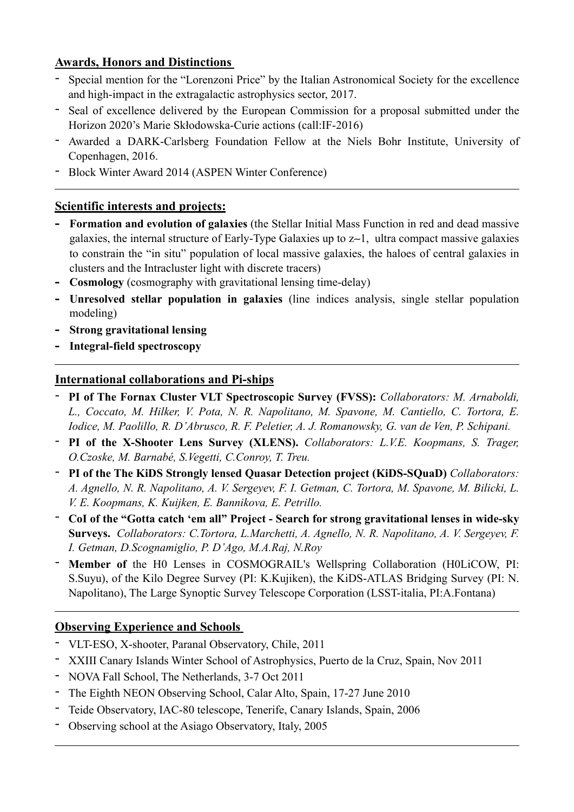### **Awards, Honors and Distinctions**

- Special mention for the "Lorenzoni Price" by the Italian Astronomical Society for the excellence and high-impact in the extragalactic astrophysics sector, 2017.
- Seal of excellence delivered by the European Commission for a proposal submitted under the Horizon 2020's Marie Skłodowska-Curie actions (call:IF-2016)
- Awarded a DARK-Carlsberg Foundation Fellow at the Niels Bohr Institute, University of Copenhagen, 2016.
- Block Winter Award 2014 (ASPEN Winter Conference)

#### **Scientific interests and projects:**

- **- Formation and evolution of galaxies** (the Stellar Initial Mass Function in red and dead massive galaxies, the internal structure of Early-Type Galaxies up to z∼1, ultra compact massive galaxies to constrain the "in situ" population of local massive galaxies, the haloes of central galaxies in clusters and the Intracluster light with discrete tracers)
- **- Cosmology** (cosmography with gravitational lensing time-delay)
- **- Unresolved stellar population in galaxies** (line indices analysis, single stellar population modeling)
- **- Strong gravitational lensing**
- **- Integral-field spectroscopy**

#### **International collaborations and Pi-ships**

- **PI of The Fornax Cluster VLT Spectroscopic Survey (FVSS):** *Collaborators: M. Arnaboldi, L., Coccato, M. Hilker, V. Pota, N. R. Napolitano, M. Spavone, M. Cantiello, C. Tortora, E. Iodice, M. Paolillo, R. D'Abrusco, R. F. Peletier, A. J. Romanowsky, G. van de Ven, P. Schipani.*
- **PI of the X-Shooter Lens Survey (XLENS).** *Collaborators: L.V.E. Koopmans, S. Trager, O.Czoske, M. Barnabé, S.Vegetti, C.Conroy, T. Treu.*
- **PI of the The KiDS Strongly lensed Quasar Detection project (KiDS-SQuaD)** *Collaborators: A. Agnello, N. R. Napolitano, A. V. Sergeyev, F. I. Getman, C. Tortora, M. Spavone, M. Bilicki, L. V. E. Koopmans, K. Kuijken, E. Bannikova, E. Petrillo.*
- **CoI of the "Gotta catch 'em all" Project Search for strong gravitational lenses in wide-sky Surveys.** *Collaborators: C.Tortora, L.Marchetti, A. Agnello, N. R. Napolitano, A. V. Sergeyev, F. I. Getman, D.Scognamiglio, P. D'Ago, M.A.Raj, N.Roy*
- **Member of** the H0 Lenses in COSMOGRAIL's Wellspring Collaboration (H0LiCOW, PI: S.Suyu), of the Kilo Degree Survey (PI: K.Kujiken), the KiDS-ATLAS Bridging Survey (PI: N. Napolitano), The Large Synoptic Survey Telescope Corporation (LSST-italia, PI:A.Fontana)

## **Observing Experience and Schools**

- VLT-ESO, X-shooter, Paranal Observatory, Chile, 2011
- XXIII Canary Islands Winter School of Astrophysics, Puerto de la Cruz, Spain, Nov 2011
- NOVA Fall School, The Netherlands, 3-7 Oct 2011
- The Eighth NEON Observing School, Calar Alto, Spain, 17-27 June 2010
- Teide Observatory, IAC-80 telescope, Tenerife, Canary Islands, Spain, 2006
- Observing school at the Asiago Observatory, Italy, 2005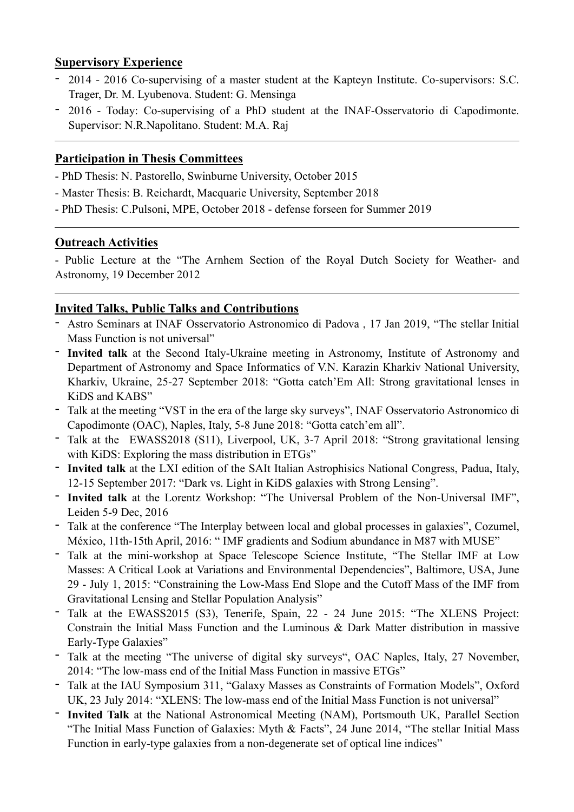#### **Supervisory Experience**

- 2014 2016 Co-supervising of a master student at the Kapteyn Institute. Co-supervisors: S.C. Trager, Dr. M. Lyubenova. Student: G. Mensinga
- 2016 Today: Co-supervising of a PhD student at the INAF-Osservatorio di Capodimonte. Supervisor: N.R.Napolitano. Student: M.A. Raj

### **Participation in Thesis Committees**

- PhD Thesis: N. Pastorello, Swinburne University, October 2015
- Master Thesis: B. Reichardt, Macquarie University, September 2018
- PhD Thesis: C.Pulsoni, MPE, October 2018 defense forseen for Summer 2019

#### **Outreach Activities**

- Public Lecture at the "The Arnhem Section of the Royal Dutch Society for Weather- and Astronomy, 19 December 2012

#### **Invited Talks, Public Talks and Contributions**

- Astro Seminars at INAF Osservatorio Astronomico di Padova , 17 Jan 2019, "The stellar Initial Mass Function is not universal"
- **Invited talk** at the Second Italy-Ukraine meeting in Astronomy, Institute of Astronomy and Department of Astronomy and Space Informatics of V.N. Karazin Kharkiv National University, Kharkiv, Ukraine, 25-27 September 2018: "Gotta catch'Em All: Strong gravitational lenses in KiDS and KABS"
- Talk at the meeting "VST in the era of the large sky surveys", INAF Osservatorio Astronomico di Capodimonte (OAC), Naples, Italy, 5-8 June 2018: "Gotta catch'em all".
- Talk at the EWASS2018 (S11), Liverpool, UK, 3-7 April 2018: "Strong gravitational lensing with KiDS: Exploring the mass distribution in ETGs"
- **Invited talk** at the LXI edition of the SAIt Italian Astrophisics National Congress, Padua, Italy, 12-15 September 2017: "Dark vs. Light in KiDS galaxies with Strong Lensing".
- **Invited talk** at the Lorentz Workshop: "The Universal Problem of the Non-Universal IMF", Leiden 5-9 Dec, 2016
- Talk at the conference "The Interplay between local and global processes in galaxies", Cozumel, México, 11th-15th April, 2016: " IMF gradients and Sodium abundance in M87 with MUSE"
- Talk at the mini-workshop at Space Telescope Science Institute, "The Stellar IMF at Low Masses: A Critical Look at Variations and Environmental Dependencies", Baltimore, USA, June 29 - July 1, 2015: "Constraining the Low-Mass End Slope and the Cutoff Mass of the IMF from Gravitational Lensing and Stellar Population Analysis"
- Talk at the EWASS2015 (S3), Tenerife, Spain, 22 24 June 2015: "The XLENS Project: Constrain the Initial Mass Function and the Luminous & Dark Matter distribution in massive Early-Type Galaxies"
- Talk at the meeting "The universe of digital sky surveys", OAC Naples, Italy, 27 November, 2014: "The low-mass end of the Initial Mass Function in massive ETGs"
- Talk at the IAU Symposium 311, "Galaxy Masses as Constraints of Formation Models", Oxford UK, 23 July 2014: "XLENS: The low-mass end of the Initial Mass Function is not universal"
- **Invited Talk** at the National Astronomical Meeting (NAM), Portsmouth UK, Parallel Section "The Initial Mass Function of Galaxies: Myth & Facts", 24 June 2014, "The stellar Initial Mass Function in early-type galaxies from a non-degenerate set of optical line indices"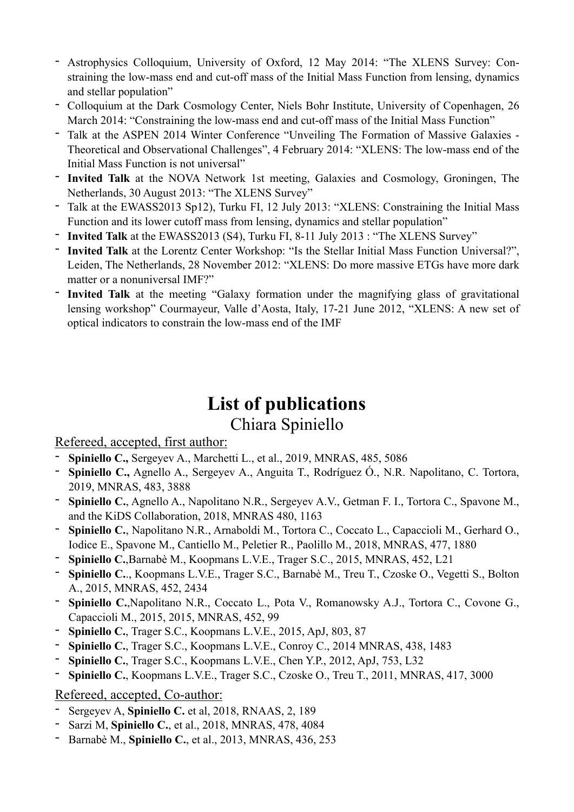- Astrophysics Colloquium, University of Oxford, 12 May 2014: "The XLENS Survey: Constraining the low-mass end and cut-off mass of the Initial Mass Function from lensing, dynamics and stellar population"
- Colloquium at the Dark Cosmology Center, Niels Bohr Institute, University of Copenhagen, 26 March 2014: "Constraining the low-mass end and cut-off mass of the Initial Mass Function"
- Talk at the ASPEN 2014 Winter Conference "Unveiling The Formation of Massive Galaxies Theoretical and Observational Challenges", 4 February 2014: "XLENS: The low-mass end of the Initial Mass Function is not universal"
- **Invited Talk** at the NOVA Network 1st meeting, Galaxies and Cosmology, Groningen, The Netherlands, 30 August 2013: "The XLENS Survey"
- Talk at the EWASS2013 Sp12), Turku FI, 12 July 2013: "XLENS: Constraining the Initial Mass Function and its lower cutoff mass from lensing, dynamics and stellar population"
- **Invited Talk** at the EWASS2013 (S4), Turku FI, 8-11 July 2013 : "The XLENS Survey"
- **Invited Talk** at the Lorentz Center Workshop: "Is the Stellar Initial Mass Function Universal?", Leiden, The Netherlands, 28 November 2012: "XLENS: Do more massive ETGs have more dark matter or a nonuniversal IMF?"
- **Invited Talk** at the meeting "Galaxy formation under the magnifying glass of gravitational lensing workshop" Courmayeur, Valle d'Aosta, Italy, 17-21 June 2012, "XLENS: A new set of optical indicators to constrain the low-mass end of the IMF

# **List of publications**

## Chiara Spiniello

## Refereed, accepted, first author:

- **Spiniello C.,** Sergeyev A., Marchetti L., et al., 2019, MNRAS, 485, 5086
- **Spiniello C.,** Agnello A., Sergeyev A., Anguita T., Rodríguez Ó., N.R. Napolitano, C. Tortora, 2019, MNRAS, 483, 3888
- **Spiniello C.**, Agnello A., Napolitano N.R., Sergeyev A.V., Getman F. I., Tortora C., Spavone M., and the KiDS Collaboration, 2018, MNRAS 480, 1163
- **Spiniello C.**, Napolitano N.R., Arnaboldi M., Tortora C., Coccato L., Capaccioli M., Gerhard O., Iodice E., Spavone M., Cantiello M., Peletier R., Paolillo M., 2018, MNRAS, 477, 1880
- **Spiniello C.**,Barnabè M., Koopmans L.V.E., Trager S.C., 2015, MNRAS, 452, L21
- **Spiniello C.**., Koopmans L.V.E., Trager S.C., Barnabè M., Treu T., Czoske O., Vegetti S., Bolton A., 2015, MNRAS, 452, 2434
- **Spiniello C.**,Napolitano N.R., Coccato L., Pota V., Romanowsky A.J., Tortora C., Covone G., Capaccioli M., 2015, 2015, MNRAS, 452, 99
- **Spiniello C.**, Trager S.C., Koopmans L.V.E., 2015, ApJ, 803, 87
- **Spiniello C.**, Trager S.C., Koopmans L.V.E., Conroy C., 2014 MNRAS, 438, 1483
- **Spiniello C.**, Trager S.C., Koopmans L.V.E., Chen Y.P., 2012, ApJ, 753, L32
- **Spiniello C.**, Koopmans L.V.E., Trager S.C., Czoske O., Treu T., 2011, MNRAS, 417, 3000

## Refereed, accepted, Co-author:

- Sergeyev A, **Spiniello C.** et al, 2018, RNAAS, 2, 189
- Sarzi M, **Spiniello C.**, et al., 2018, MNRAS, 478, 4084
- Barnabè M., **Spiniello C.**, et al., 2013, MNRAS, 436, 253